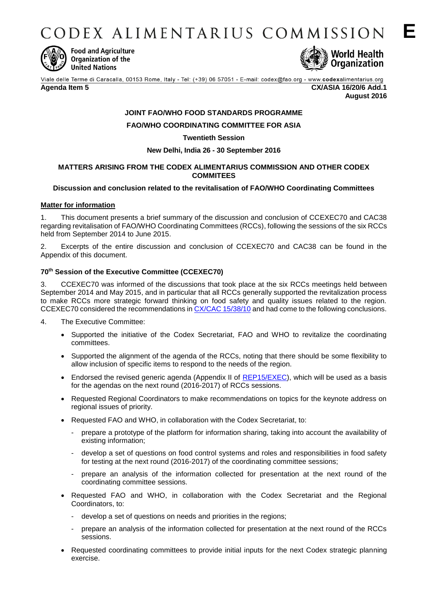CODEX ALIMENTARIUS COMMISSION



**Food and Agriculture** Organization of the **United Nations** 



Viale delle Terme di Caracalla, 00153 Rome, Italy - Tel: (+39) 06 57051 - E-mail: codex@fao.org - www.codexalimentarius.org

**Agenda Item 5 CX/ASIA 16/20/6 Add.1 August 2016**

# **JOINT FAO/WHO FOOD STANDARDS PROGRAMME**

# **FAO/WHO COORDINATING COMMITTEE FOR ASIA**

## **Twentieth Session**

# **New Delhi, India 26 - 30 September 2016**

## **MATTERS ARISING FROM THE CODEX ALIMENTARIUS COMMISSION AND OTHER CODEX COMMITEES**

## **Discussion and conclusion related to the revitalisation of FAO/WHO Coordinating Committees**

## **Matter for information**

1. This document presents a brief summary of the discussion and conclusion of CCEXEC70 and CAC38 regarding revitalisation of FAO/WHO Coordinating Committees (RCCs), following the sessions of the six RCCs held from September 2014 to June 2015.

2. Excerpts of the entire discussion and conclusion of CCEXEC70 and CAC38 can be found in the Appendix of this document.

## **70th Session of the Executive Committee (CCEXEC70)**

3. CCEXEC70 was informed of the discussions that took place at the six RCCs meetings held between September 2014 and May 2015, and in particular that all RCCs generally supported the revitalization process to make RCCs more strategic forward thinking on food safety and quality issues related to the region. CCEXEC70 considered the recommendations i[n CX/CAC 15/38/10](ftp://ftp.fao.org/codex/meetings/CAC/cac38/cac38_10e.pdf) and had come to the following conclusions.

- 4. The Executive Committee:
	- Supported the initiative of the Codex Secretariat, FAO and WHO to revitalize the coordinating committees.
	- Supported the alignment of the agenda of the RCCs, noting that there should be some flexibility to allow inclusion of specific items to respond to the needs of the region.
	- Endorsed the revised generic agenda (Appendix II of [REP15/EXEC\)](http://www.fao.org/fao-who-codexalimentarius/sh-proxy/en/?lnk=1&url=https%253A%252F%252Fworkspace.fao.org%252Fsites%252Fcodex%252FMeetings%252FCX-702-70%252FREP15_EXe.pdf), which will be used as a basis for the agendas on the next round (2016-2017) of RCCs sessions.
	- Requested Regional Coordinators to make recommendations on topics for the keynote address on regional issues of priority.
	- Requested FAO and WHO, in collaboration with the Codex Secretariat, to:
		- prepare a prototype of the platform for information sharing, taking into account the availability of existing information;
		- develop a set of questions on food control systems and roles and responsibilities in food safety for testing at the next round (2016-2017) of the coordinating committee sessions;
		- prepare an analysis of the information collected for presentation at the next round of the coordinating committee sessions.
	- Requested FAO and WHO, in collaboration with the Codex Secretariat and the Regional Coordinators, to:
		- develop a set of questions on needs and priorities in the regions;
		- prepare an analysis of the information collected for presentation at the next round of the RCCs sessions.
	- Requested coordinating committees to provide initial inputs for the next Codex strategic planning exercise.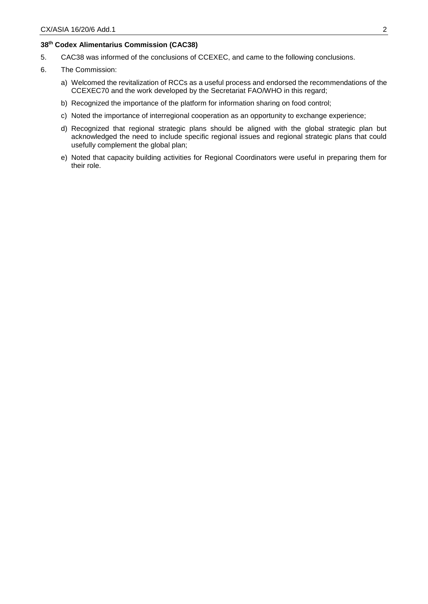## **38th Codex Alimentarius Commission (CAC38)**

- 5. CAC38 was informed of the conclusions of CCEXEC, and came to the following conclusions.
- 6. The Commission:
	- a) Welcomed the revitalization of RCCs as a useful process and endorsed the recommendations of the CCEXEC70 and the work developed by the Secretariat FAO/WHO in this regard;
	- b) Recognized the importance of the platform for information sharing on food control;
	- c) Noted the importance of interregional cooperation as an opportunity to exchange experience;
	- d) Recognized that regional strategic plans should be aligned with the global strategic plan but acknowledged the need to include specific regional issues and regional strategic plans that could usefully complement the global plan;
	- e) Noted that capacity building activities for Regional Coordinators were useful in preparing them for their role.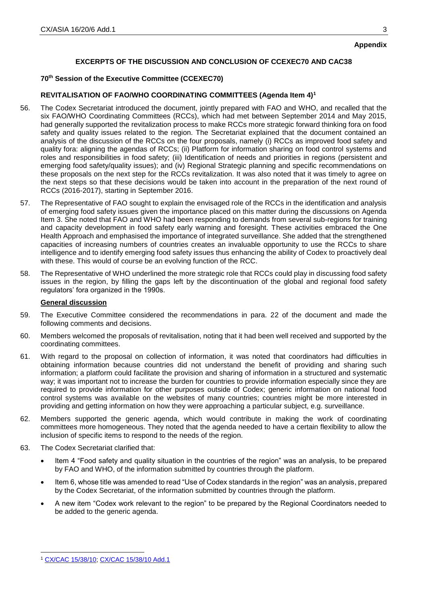# **Appendix**

# **EXCERPTS OF THE DISCUSSION AND CONCLUSION OF CCEXEC70 AND CAC38**

# **70th Session of the Executive Committee (CCEXEC70)**

# **REVITALISATION OF FAO/WHO COORDINATING COMMITTEES (Agenda Item 4)<sup>1</sup>**

- 56. The Codex Secretariat introduced the document, jointly prepared with FAO and WHO, and recalled that the six FAO/WHO Coordinating Committees (RCCs), which had met between September 2014 and May 2015, had generally supported the revitalization process to make RCCs more strategic forward thinking fora on food safety and quality issues related to the region. The Secretariat explained that the document contained an analysis of the discussion of the RCCs on the four proposals, namely (i) RCCs as improved food safety and quality fora: aligning the agendas of RCCs; (ii) Platform for information sharing on food control systems and roles and responsibilities in food safety; (iii) Identification of needs and priorities in regions (persistent and emerging food safety/quality issues); and (iv) Regional Strategic planning and specific recommendations on these proposals on the next step for the RCCs revitalization. It was also noted that it was timely to agree on the next steps so that these decisions would be taken into account in the preparation of the next round of RCCs (2016-2017), starting in September 2016.
- 57. The Representative of FAO sought to explain the envisaged role of the RCCs in the identification and analysis of emerging food safety issues given the importance placed on this matter during the discussions on Agenda Item 3. She noted that FAO and WHO had been responding to demands from several sub-regions for training and capacity development in food safety early warning and foresight. These activities embraced the One Health Approach and emphasised the importance of integrated surveillance. She added that the strengthened capacities of increasing numbers of countries creates an invaluable opportunity to use the RCCs to share intelligence and to identify emerging food safety issues thus enhancing the ability of Codex to proactively deal with these. This would of course be an evolving function of the RCC.
- 58. The Representative of WHO underlined the more strategic role that RCCs could play in discussing food safety issues in the region, by filling the gaps left by the discontinuation of the global and regional food safety regulators' fora organized in the 1990s.

## **General discussion**

- 59. The Executive Committee considered the recommendations in para. 22 of the document and made the following comments and decisions.
- 60. Members welcomed the proposals of revitalisation, noting that it had been well received and supported by the coordinating committees.
- 61. With regard to the proposal on collection of information, it was noted that coordinators had difficulties in obtaining information because countries did not understand the benefit of providing and sharing such information; a platform could facilitate the provision and sharing of information in a structured and systematic way; it was important not to increase the burden for countries to provide information especially since they are required to provide information for other purposes outside of Codex; generic information on national food control systems was available on the websites of many countries; countries might be more interested in providing and getting information on how they were approaching a particular subject, e.g. surveillance.
- 62. Members supported the generic agenda, which would contribute in making the work of coordinating committees more homogeneous. They noted that the agenda needed to have a certain flexibility to allow the inclusion of specific items to respond to the needs of the region.
- 63. The Codex Secretariat clarified that:
	- Item 4 "Food safety and quality situation in the countries of the region" was an analysis, to be prepared by FAO and WHO, of the information submitted by countries through the platform.
	- Item 6, whose title was amended to read "Use of Codex standards in the region" was an analysis, prepared by the Codex Secretariat, of the information submitted by countries through the platform.
	- A new item "Codex work relevant to the region" to be prepared by the Regional Coordinators needed to be added to the generic agenda.

-

<span id="page-2-0"></span>

<sup>1</sup> [CX/CAC 15/38/10;](ftp://ftp.fao.org/codex/meetings/CAC/cac38/cac38_10e.pdf) [CX/CAC 15/38/10 Add.1](ftp://ftp.fao.org/codex/meetings/CAC/CAC38/cac38_10_Add1e.pdf)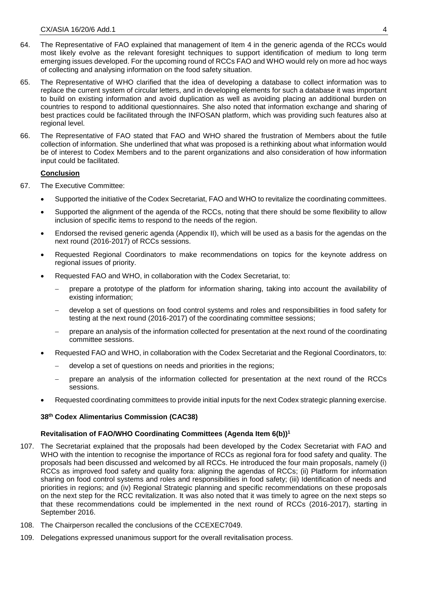- 64. The Representative of FAO explained that management of Item 4 in the generic agenda of the RCCs would most likely evolve as the relevant foresight techniques to support identification of medium to long term emerging issues developed. For the upcoming round of RCCs FAO and WHO would rely on more ad hoc ways of collecting and analysing information on the food safety situation.
- 65. The Representative of WHO clarified that the idea of developing a database to collect information was to replace the current system of circular letters, and in developing elements for such a database it was important to build on existing information and avoid duplication as well as avoiding placing an additional burden on countries to respond to additional questionnaires. She also noted that information exchange and sharing of best practices could be facilitated through the INFOSAN platform, which was providing such features also at regional level.
- 66. The Representative of FAO stated that FAO and WHO shared the frustration of Members about the futile collection of information. She underlined that what was proposed is a rethinking about what information would be of interest to Codex Members and to the parent organizations and also consideration of how information input could be facilitated.

# **Conclusion**

- 67. The Executive Committee:
	- Supported the initiative of the Codex Secretariat, FAO and WHO to revitalize the coordinating committees.
	- Supported the alignment of the agenda of the RCCs, noting that there should be some flexibility to allow inclusion of specific items to respond to the needs of the region.
	- Endorsed the revised generic agenda (Appendix II), which will be used as a basis for the agendas on the next round (2016-2017) of RCCs sessions.
	- Requested Regional Coordinators to make recommendations on topics for the keynote address on regional issues of priority.
	- Requested FAO and WHO, in collaboration with the Codex Secretariat, to:
		- prepare a prototype of the platform for information sharing, taking into account the availability of existing information;
		- develop a set of questions on food control systems and roles and responsibilities in food safety for testing at the next round (2016-2017) of the coordinating committee sessions;
		- prepare an analysis of the information collected for presentation at the next round of the coordinating committee sessions.
	- Requested FAO and WHO, in collaboration with the Codex Secretariat and the Regional Coordinators, to:
		- develop a set of questions on needs and priorities in the regions;
		- prepare an analysis of the information collected for presentation at the next round of the RCCs sessions.
	- Requested coordinating committees to provide initial inputs for the next Codex strategic planning exercise.

# **38th Codex Alimentarius Commission (CAC38)**

# **Revitalisation of FAO/WHO Coordinating Committees (Agenda Item 6(b)[\)](#page-2-0)<sup>1</sup>**

- 107. The Secretariat explained that the proposals had been developed by the Codex Secretariat with FAO and WHO with the intention to recognise the importance of RCCs as regional fora for food safety and quality. The proposals had been discussed and welcomed by all RCCs. He introduced the four main proposals, namely (i) RCCs as improved food safety and quality fora: aligning the agendas of RCCs; (ii) Platform for information sharing on food control systems and roles and responsibilities in food safety; (iii) Identification of needs and priorities in regions; and (iv) Regional Strategic planning and specific recommendations on these proposals on the next step for the RCC revitalization. It was also noted that it was timely to agree on the next steps so that these recommendations could be implemented in the next round of RCCs (2016-2017), starting in September 2016.
- 108. The Chairperson recalled the conclusions of the CCEXEC7049.
- 109. Delegations expressed unanimous support for the overall revitalisation process.